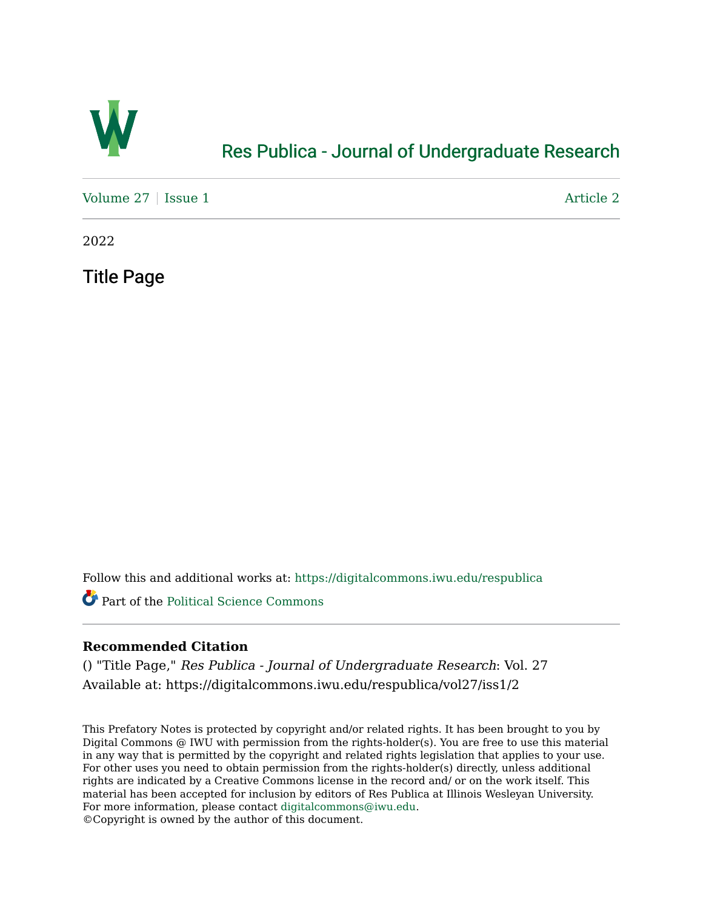

## [Res Publica - Journal of Undergraduate Research](https://digitalcommons.iwu.edu/respublica)

[Volume 27](https://digitalcommons.iwu.edu/respublica/vol27) | [Issue 1](https://digitalcommons.iwu.edu/respublica/vol27/iss1) Article 2

2022

Title Page

Follow this and additional works at: [https://digitalcommons.iwu.edu/respublica](https://digitalcommons.iwu.edu/respublica?utm_source=digitalcommons.iwu.edu%2Frespublica%2Fvol27%2Fiss1%2F2&utm_medium=PDF&utm_campaign=PDFCoverPages) 

Part of the [Political Science Commons](http://network.bepress.com/hgg/discipline/386?utm_source=digitalcommons.iwu.edu%2Frespublica%2Fvol27%2Fiss1%2F2&utm_medium=PDF&utm_campaign=PDFCoverPages)

## **Recommended Citation**

() "Title Page," Res Publica - Journal of Undergraduate Research: Vol. 27 Available at: https://digitalcommons.iwu.edu/respublica/vol27/iss1/2

This Prefatory Notes is protected by copyright and/or related rights. It has been brought to you by Digital Commons @ IWU with permission from the rights-holder(s). You are free to use this material in any way that is permitted by the copyright and related rights legislation that applies to your use. For other uses you need to obtain permission from the rights-holder(s) directly, unless additional rights are indicated by a Creative Commons license in the record and/ or on the work itself. This material has been accepted for inclusion by editors of Res Publica at Illinois Wesleyan University. For more information, please contact [digitalcommons@iwu.edu](mailto:digitalcommons@iwu.edu). ©Copyright is owned by the author of this document.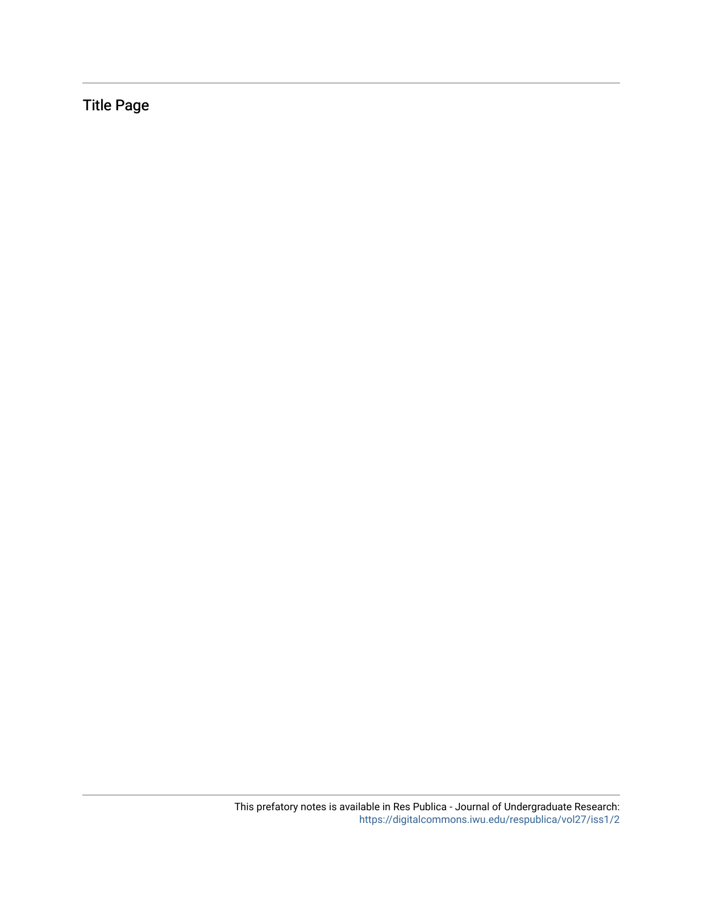Title Page